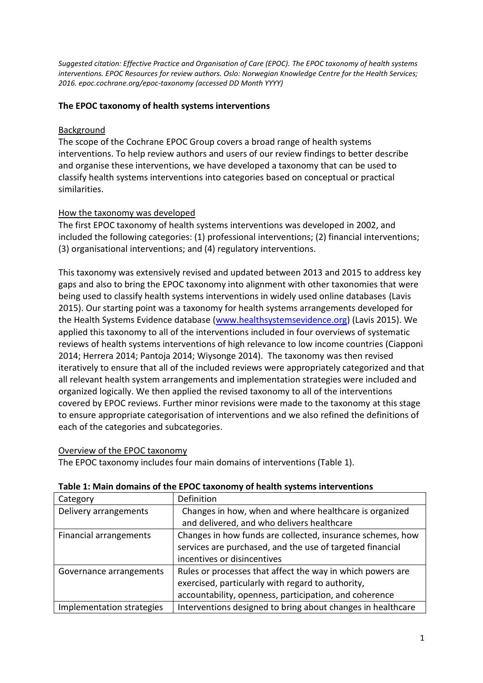*Suggested citation: Effective Practice and Organisation of Care (EPOC). The EPOC taxonomy of health systems interventions. EPOC Resources for review authors. Oslo: Norwegian Knowledge Centre for the Health Services; 2016. epoc.cochrane.org/epoc-taxonomy (accessed DD Month YYYY)*

# **The EPOC taxonomy of health systems interventions**

# Background

The scope of the Cochrane EPOC Group covers a broad range of health systems interventions. To help review authors and users of our review findings to better describe and organise these interventions, we have developed a taxonomy that can be used to classify health systems interventions into categories based on conceptual or practical similarities.

## How the taxonomy was developed

The first EPOC taxonomy of health systems interventions was developed in 2002, and included the following categories: (1) professional interventions; (2) financial interventions; (3) organisational interventions; and (4) regulatory interventions.

This taxonomy was extensively revised and updated between 2013 and 2015 to address key gaps and also to bring the EPOC taxonomy into alignment with other taxonomies that were being used to classify health systems interventions in widely used online databases (Lavis 2015). Our starting point was a taxonomy for health systems arrangements developed for the Health Systems Evidence database [\(www.healthsystemsevidence.org\)](http://www.healthsystemsevidence.org/) (Lavis 2015). We applied this taxonomy to all of the interventions included in four overviews of systematic reviews of health systems interventions of high relevance to low income countries (Ciapponi 2014; Herrera 2014; Pantoja 2014; Wiysonge 2014). The taxonomy was then revised iteratively to ensure that all of the included reviews were appropriately categorized and that all relevant health system arrangements and implementation strategies were included and organized logically. We then applied the revised taxonomy to all of the interventions covered by EPOC reviews. Further minor revisions were made to the taxonomy at this stage to ensure appropriate categorisation of interventions and we also refined the definitions of each of the categories and subcategories.

### Overview of the EPOC taxonomy

The EPOC taxonomy includes four main domains of interventions (Table 1).

| Category                  | Definition                                                  |
|---------------------------|-------------------------------------------------------------|
| Delivery arrangements     | Changes in how, when and where healthcare is organized      |
|                           | and delivered, and who delivers healthcare                  |
| Financial arrangements    | Changes in how funds are collected, insurance schemes, how  |
|                           | services are purchased, and the use of targeted financial   |
|                           | incentives or disincentives                                 |
| Governance arrangements   | Rules or processes that affect the way in which powers are  |
|                           | exercised, particularly with regard to authority,           |
|                           | accountability, openness, participation, and coherence      |
| Implementation strategies | Interventions designed to bring about changes in healthcare |

### **Table 1: Main domains of the EPOC taxonomy of health systems interventions**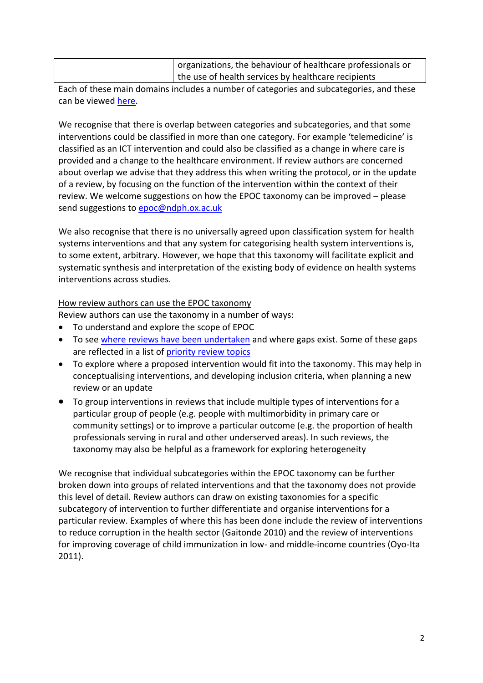| organizations, the behaviour of healthcare professionals or |
|-------------------------------------------------------------|
| the use of health services by healthcare recipients         |

Each of these main domains includes a number of categories and subcategories, and these can be viewed [here.](http://epoc.cochrane.org/epoc-taxonomy)

We recognise that there is overlap between categories and subcategories, and that some interventions could be classified in more than one category. For example 'telemedicine' is classified as an ICT intervention and could also be classified as a change in where care is provided and a change to the healthcare environment. If review authors are concerned about overlap we advise that they address this when writing the protocol, or in the update of a review, by focusing on the function of the intervention within the context of their review. We welcome suggestions on how the EPOC taxonomy can be improved – please send suggestions to [epoc@ndph.ox.ac.uk](mailto:epoc@ndph.ox.ac.uk)

We also recognise that there is no universally agreed upon classification system for health systems interventions and that any system for categorising health system interventions is, to some extent, arbitrary. However, we hope that this taxonomy will facilitate explicit and systematic synthesis and interpretation of the existing body of evidence on health systems interventions across studies.

## How review authors can use the EPOC taxonomy

Review authors can use the taxonomy in a number of ways:

- To understand and explore the scope of EPOC
- To see [where reviews have been undertaken](http://epoc.cochrane.org/our-reviews) and where gaps exist. Some of these gaps are reflected in a list of [priority review topics](http://epoc.cochrane.org/our-priority-topics-2015)
- To explore where a proposed intervention would fit into the taxonomy. This may help in conceptualising interventions, and developing inclusion criteria, when planning a new review or an update
- To group interventions in reviews that include multiple types of interventions for a particular group of people (e.g. people with multimorbidity in primary care or community settings) or to improve a particular outcome (e.g. the proportion of health professionals serving in rural and other underserved areas). In such reviews, the taxonomy may also be helpful as a framework for exploring heterogeneity

We recognise that individual subcategories within the EPOC taxonomy can be further broken down into groups of related interventions and that the taxonomy does not provide this level of detail. Review authors can draw on existing taxonomies for a specific subcategory of intervention to further differentiate and organise interventions for a particular review. Examples of where this has been done include the review of interventions to reduce corruption in the health sector (Gaitonde 2010) and the review of interventions for improving coverage of child immunization in low- and middle-income countries (Oyo-Ita 2011).